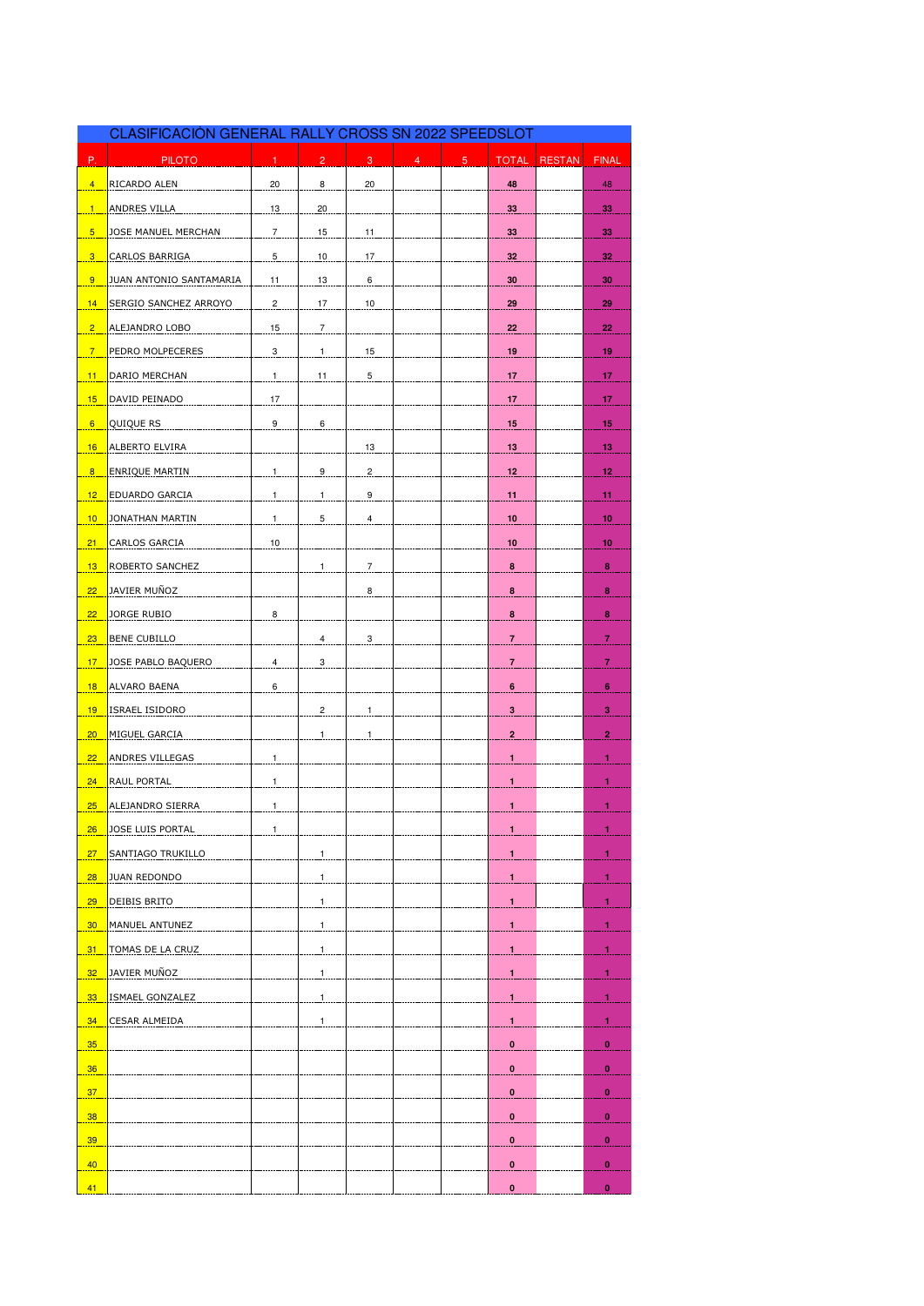|                     | CLASIFICACIÓN GENERAL RALLY CROSS SN 2022 SPEEDSLOT |                |                         |                  |                |            |                         |               |                         |
|---------------------|-----------------------------------------------------|----------------|-------------------------|------------------|----------------|------------|-------------------------|---------------|-------------------------|
| P.                  | <b>PILOTO</b>                                       | $\mathbf{1}$   | $\overline{\mathbf{2}}$ | $\sqrt{3}$       | $\overline{4}$ | $\sqrt{5}$ | <b>TOTAL</b>            | <b>RESTAN</b> | <b>FINAL</b>            |
| $\overline{4}$      | RICARDO ALEN                                        | 20             | 8                       | 20               |                |            | 48                      |               | 48                      |
| $\mathbf{1}$        | <b>ANDRES VILLA</b>                                 | 13             | 20                      |                  |                |            | 33                      |               | 33                      |
| 5 <sub>1</sub>      | JOSE MANUEL MERCHAN                                 | $\overline{7}$ | 15                      | 11               |                |            | 33                      |               | 33                      |
| $\overline{3}$      | CARLOS BARRIGA                                      | $\overline{5}$ | $10$                    | $17\,$           |                |            | 32                      |               | 32                      |
| 9                   | JUAN ANTONIO SANTAMARIA                             | 11             | 13                      | $\,6\,$          |                |            | 30 <sub>o</sub>         |               | 30 <sub>2</sub>         |
| 14                  | <b>SERGIO SANCHEZ ARROYO</b>                        | $\overline{2}$ | 17                      | 10               |                |            | 29                      |               | 29                      |
| 2 <sub>1</sub>      | ALEJANDRO LOBO                                      | 15             | $\overline{7}$          |                  |                |            | 22                      |               | 22                      |
| 7 <sup>2</sup>      | PEDRO MOLPECERES                                    | $\mathbf{3}$   | $\overline{1}$          | .15.             |                |            | 19                      |               | 19                      |
| 11                  | DARIO MERCHAN                                       | $\mathbf{1}$   | 11                      | $\overline{5}$   |                |            | 17                      |               | 17                      |
| 15                  | DAVID PEINADO                                       | 17             |                         |                  |                |            | $17\,$                  |               | $17\,$                  |
| $6 \nightharpoonup$ | QUIQUE RS                                           | 9              | 6                       |                  |                |            | $15\phantom{.0}$        |               | 15 <sub>15</sub>        |
| 16                  | <b>ALBERTO ELVIRA</b>                               |                |                         | 13               |                |            | 13                      |               | 13                      |
| 8 <sub>1</sub>      | <b>ENRIQUE MARTIN</b>                               | $\mathbf{1}$   | $9\,$                   | $\overline{c}$   |                |            | $12$                    |               | 12                      |
| 12 <sub>2</sub>     | EDUARDO GARCIA                                      | $\mathbf{1}$   | $\overline{1}$          | $\boldsymbol{9}$ |                |            | 11                      |               | 11                      |
| 10                  | JONATHAN MARTIN                                     | 1              | 5                       | $\overline{4}$   |                |            | 10                      |               | 10 <sub>1</sub>         |
| 21                  | <b>CARLOS GARCIA</b>                                | 10             |                         |                  |                |            | 10                      |               | 10                      |
| 13                  | ROBERTO SANCHEZ                                     |                | $\mathbf{1}$            | $\overline{7}$   |                |            | $\bf8$                  |               | $\bf8$                  |
| 22                  | JAVIER MUÑOZ                                        |                |                         | 8                |                |            | $\bf{8}$                |               | 8                       |
| 22                  | <b>JORGE RUBIO</b>                                  | 8              |                         |                  |                |            | $\overline{\mathbf{8}}$ |               | $\overline{\mathbf{8}}$ |
| 23                  | <b>BENE CUBILLO</b>                                 |                | $\overline{4}$          | 3                |                |            | $\overline{7}$          |               | $\overline{7}$          |
| 17                  | JOSE PABLO BAQUERO                                  | $\overline{4}$ | 3                       |                  |                |            | $\overline{z}$          |               | $\overline{z}$          |
| 18                  | ALVARO BAENA                                        | 6              |                         |                  |                |            | $\bf 6$                 |               | $\,$ 6 $\,$             |
| 19                  | ISRAEL ISIDORO                                      |                | $\overline{c}$          | 1                |                |            | $\mathbf{3}$            |               | $\overline{\mathbf{3}}$ |
| 20 <sub>2</sub>     | MIGUEL GARCIA                                       |                | $\mathbf{1}$            | $\mathbf{1}$     |                |            | $\bf 2$                 |               | $\mathbf{2}^{\circ}$    |
| 22                  | <b>ANDRES VILLEGAS</b>                              | 1              |                         |                  |                |            | 1                       |               | $\mathbf{1}$            |
| 24                  | RAUL PORTAL                                         | 1              |                         |                  |                |            | 1                       |               | 1                       |
| 25                  | ALEJANDRO SIERRA                                    | $\mathbf{1}$   |                         |                  |                |            | $\mathbf{1}$            |               | 1                       |
| 26                  | JOSE LUIS PORTAL                                    | $\mathbf{1}$   |                         |                  |                |            | 1                       |               | 1                       |
| 27                  | SANTIAGO TRUKILLO                                   |                | 1                       |                  |                |            | $\mathbf{1}$            |               | $\mathbf{1}$            |
| 28                  | <b>JUAN REDONDO</b>                                 |                | $\mathbf{1}$            |                  |                |            | 1                       |               | $\mathbf 1$             |
| 29                  | DEIBIS BRITO                                        |                | 1                       |                  |                |            | 1                       |               | 1                       |
| 30                  | MANUEL ANTUNEZ                                      |                | 1                       |                  |                |            | 1                       |               | 1                       |
| 31                  | TOMAS DE LA CRUZ                                    |                | 1                       |                  |                |            | $\blacksquare$          |               | 1                       |
| 32                  | JAVIER MUÑOZ                                        |                | $\mathbf{1}$            |                  |                |            | $\mathbf{1}$            |               | $\mathbf{1}$            |
| 33                  | ISMAEL GONZALEZ                                     |                | $\mathbf{1}$            |                  |                |            | 1                       |               | 1                       |
| 34                  | CESAR ALMEIDA                                       |                | 1                       |                  |                |            | 1                       |               | 1                       |
| 35                  |                                                     |                |                         |                  |                |            | $\mathbf 0$             |               | $\pmb{0}$               |
| 36                  |                                                     |                |                         |                  |                |            | $\pmb{0}$               |               | $\pmb{0}$               |
| 37                  |                                                     |                |                         |                  |                |            | $\pmb{0}$               |               | $\pmb{0}$               |
| 38                  |                                                     |                |                         |                  |                |            | $\pmb{0}$               |               | $\pmb{0}$               |
| 39                  |                                                     |                |                         |                  |                |            | $\pmb{0}$               |               | $\overline{\mathbf{0}}$ |
| 40                  |                                                     |                |                         |                  |                |            | $\mathbf 0$             |               | $\pmb{0}$               |
| 41                  |                                                     |                |                         |                  |                |            | $\mathbf 0$             |               | $\mathbf 0$             |